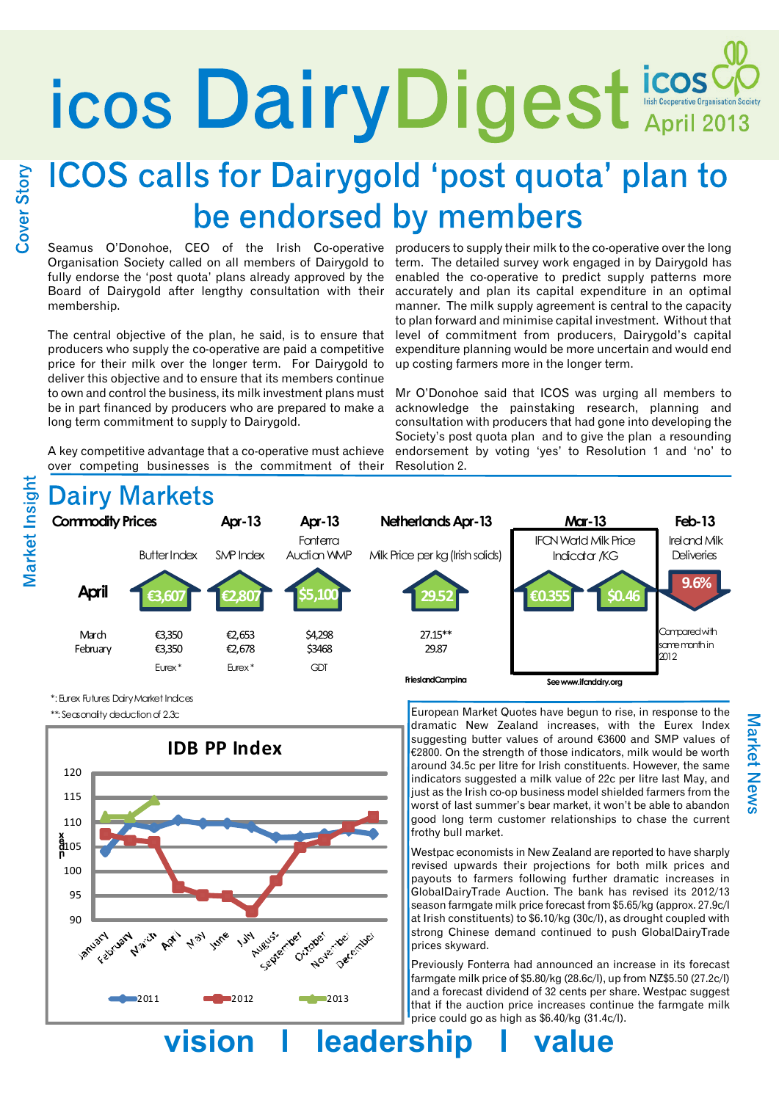# icos<sup>Cio</sup> Dairy Digest Escoperative Organisation Society

# **ICOS calls for Dairygold 'post quota' plan to** be endorsed by members

Seamus O'Donohoe, CEO of the Irish Co-operative producers to supply their milk to the co-operative over the long Organisation Society called on all members of Dairygold to fully endorse the 'post quota' plans already approved by the Board of Dairygold after lengthy consultation with their membership.

The central objective of the plan, he said, is to ensure that producers who supply the co-operative are paid a competitive price for their milk over the longer term. For Dairygold to deliver this objective and to ensure that its members continue to own and control the business, its milk investment plans must be in part financed by producers who are prepared to make a long term commitment to supply to Dairygold.

A key competitive advantage that a co-operative must achieve over competing businesses is the commitment of their

term. The detailed survey work engaged in by Dairygold has enabled the co-operative to predict supply patterns more accurately and plan its capital expenditure in an optimal manner. The milk supply agreement is central to the capacity to plan forward and minimise capital investment. Without that level of commitment from producers, Dairygold's capital expenditure planning would be more uncertain and would end up costing farmers more in the longer term.

Mr O'Donohoe said that ICOS was urging all members to acknowledge the painstaking research, planning and consultation with producers that had gone into developing the Society's post quota plan and to give the plan a resounding endorsement by voting 'yes' to Resolution 1 and 'no' to Resolution 2.



\*: Eurex Futures Dairy Market Indices \*\*: Seasonality deduction of 2.3c



European Market Quotes have begun to rise, in response to the dramatic New Zealand increases, with the Eurex Index suggesting butter values of around €3600 and SMP values of €2800. On the strength of those indicators, milk would be worth around 34.5c per litre for Irish constituents. However, the same indicators suggested a milk value of 22c per litre last May, and just as the Irish co-op business model shielded farmers from the worst of last summer's bear market, it won't be able to abandon good long term customer relationships to chase the current frothy bull market.

Westpac economists in New Zealand are reported to have sharply revised upwards their projections for both milk prices and payouts to farmers following further dramatic increases in GlobalDairyTrade Auction. The bank has revised its 2012/13 season farmgate milk price forecast from \$5.65/kg (approx. 27.9c/l at Irish constituents) to \$6.10/kg (30c/l), as drought coupled with strong Chinese demand continued to push GlobalDairyTrade prices skyward.

Previously Fonterra had announced an increase in its forecast farmgate milk price of \$5.80/kg (28.6c/l), up from NZ\$5.50 (27.2c/l) and a forecast dividend of 32 cents per share. Westpac suggest that if the auction price increases continue the farmgate milk price could go as high as \$6.40/kg (31.4c/l).

**vision l leadership l value**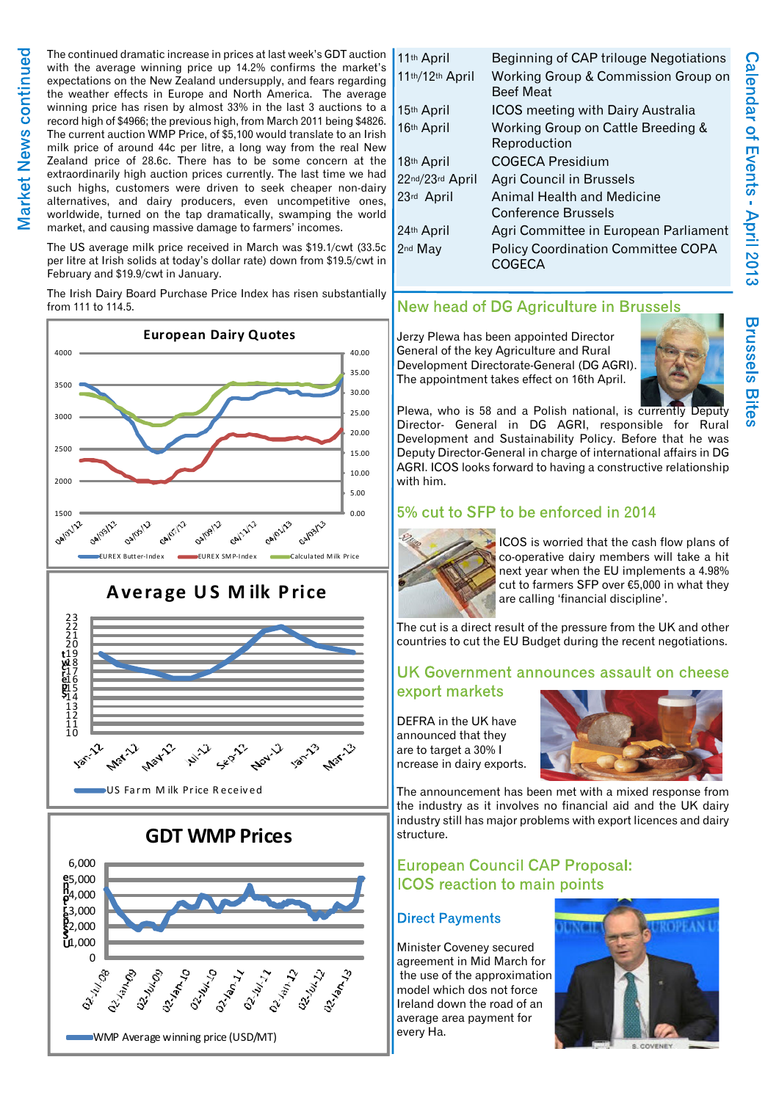The continued dramatic increase in prices at last week's GDT auction with the average winning price up 14.2% confirms the market's expectations on the New Zealand undersupply, and fears regarding the weather effects in Europe and North America. The average winning price has risen by almost 33% in the last 3 auctions to a record high of \$4966; the previous high, from March 2011 being \$4826. The current auction WMP Price, of \$5,100 would translate to an Irish milk price of around 44c per litre, a long way from the real New Zealand price of 28.6c. There has to be some concern at the extraordinarily high auction prices currently. The last time we had such highs, customers were driven to seek cheaper non-dairy alternatives, and dairy producers, even uncompetitive ones, worldwide, turned on the tap dramatically, swamping the world market, and causing massive damage to farmers' incomes.

The US average milk price received in March was \$19.1/cwt (33.5c per litre at Irish solids at today's dollar rate) down from \$19.5/cwt in February and \$19.9/cwt in January.

The Irish Dairy Board Purchase Price Index has risen substantially from 111 to 114.5.



# **A verage U S M ilk P rice**



**GDT WMP Prices**



| 11th April          | Beginning of CAP trilouge Negotiations                          |
|---------------------|-----------------------------------------------------------------|
| 11th/12th April     | Working Group & Commission Group on<br><b>Beef Meat</b>         |
| 15th April          | <b>ICOS</b> meeting with Dairy Australia                        |
| 16th April          | Working Group on Cattle Breeding &<br>Reproduction              |
| 18th April          | <b>COGECA Presidium</b>                                         |
| 22nd/23rd April     | <b>Agri Council in Brussels</b>                                 |
| 23rd April          | <b>Animal Health and Medicine</b><br><b>Conference Brussels</b> |
| 24th April          | Agri Committee in European Parliament                           |
| 2 <sup>nd</sup> May | <b>Policy Coordination Committee COPA</b><br>COGECA             |

# New head of DG Agriculture in Brussels

Jerzy Plewa has been appointed Director General of the key Agriculture and Rural Development Directorate-General (DG AGRI). The appointment takes effect on 16th April.



Plewa, who is 58 and a Polish national, is currently Deputy Director- General in DG AGRI, responsible for Rural Development and Sustainability Policy. Before that he was Deputy Director-General in charge of international affairs in DG AGRI. ICOS looks forward to having a constructive relationship with him.

# 5% cut to SFP to be enforced in 2014



ICOS is worried that the cash flow plans of co-operative dairy members will take a hit next year when the EU implements a 4.98% cut to farmers SFP over €5,000 in what they are calling 'financial discipline'.

The cut is a direct result of the pressure from the UK and other countries to cut the EU Budget during the recent negotiations.

# UK Government announces assault on cheese export markets

DEFRA in the UK have announced that they are to target a 30% I ncrease in dairy exports.



The announcement has been met with a mixed response from the industry as it involves no financial aid and the UK dairy industry still has major problems with export licences and dairy structure.

# **European Council CAP Proposal: ICOS** reaction to main points

## **Direct Payments**

Minister Coveney secured agreement in Mid March for the use of the approximation model which dos not force Ireland down the road of an average area payment for every Ha.



Calendar of Events - April 2013 **Brussels Bites**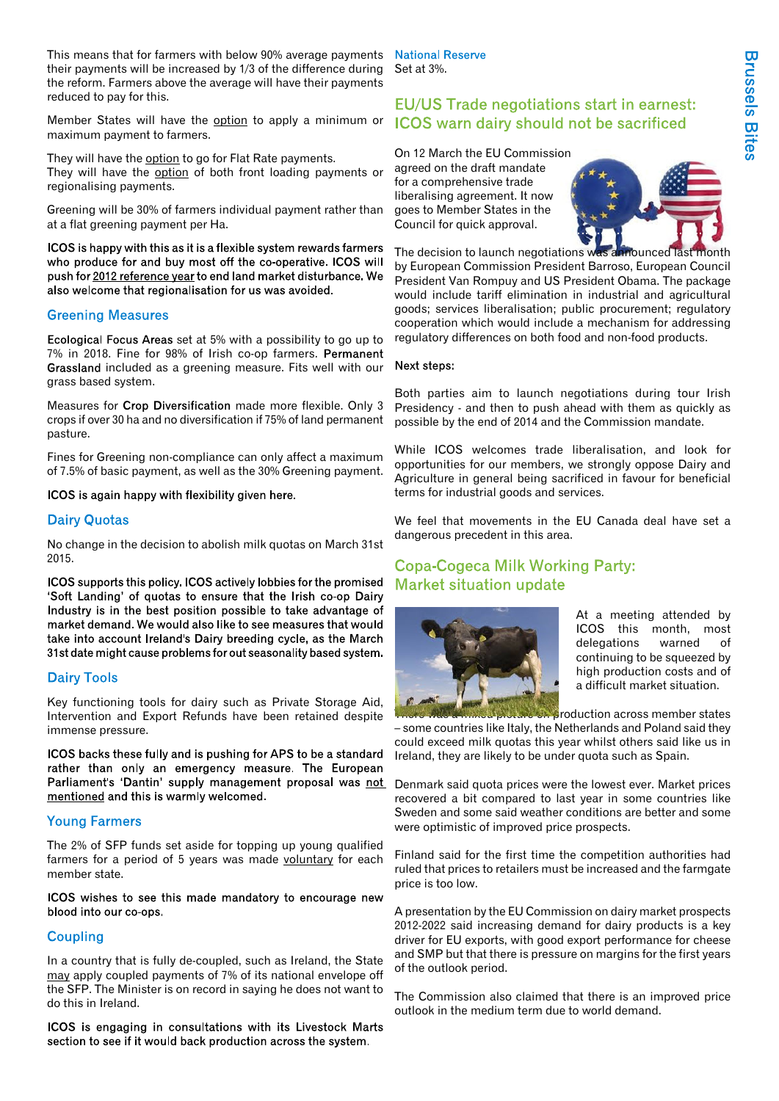This means that for farmers with below 90% average payments National Reserve their payments will be increased by 1/3 of the difference during the reform. Farmers above the average will have their payments reduced to pay for this.

Member States will have the option to apply a minimum or ICOS warn dairy should not be sacrificed maximum payment to farmers.

They will have the option to go for Flat Rate payments. They will have the option of both front loading payments or regionalising payments.

Greening will be 30% of farmers individual payment rather than at a flat greening payment per Ha.

ICOS is happy with this as it is a flexible system rewards farmers who produce for and buy most off the co-operative. ICOS will push for 2012 reference year to end land market disturbance. We also welcome that regionalisation for us was avoided.

#### **Greening Measures**

Ecological Focus Areas set at 5% with a possibility to go up to 7% in 2018. Fine for 98% of Irish co-op farmers. Grassland included as a greening measure. Fits well with our grass based system.

Measures for Crop Diversification made more flexible. Only 3 crops if over 30 ha and no diversification if 75% of land permanent pasture.

Fines for Greening non-compliance can only affect a maximum of 7.5% of basic payment, as well as the 30% Greening payment.

ICOS is again happy with flexibility given here.

#### **Dairy Quotas**

No change in the decision to abolish milk quotas on March 31st 2015.

ICOS supports this policy. ICOS actively lobbies for the promised 'Soft Landing' of quotas to ensure that the Irish co-op Dairy Industry is in the best position possible to take advantage of market demand. We would also like to see measures that would take into account Ireland's Dairy breeding cycle, as the March 31st date might cause problems for out seasonality based system.

#### **Dairy Tools**

Key functioning tools for dairy such as Private Storage Aid, Intervention and Export Refunds have been retained despite immense pressure.

ICOS backs these fully and is pushing for APS to be a standard rather than only an emergency measure. The European Parliament's 'Dantin' supply management proposal was not Denmark said quota prices were the lowest ever. Market prices mentioned and this is warmly welcomed.

#### **Young Farmers**

The 2% of SFP funds set aside for topping up young qualified farmers for a period of 5 years was made voluntary for each member state.

ICOS wishes to see this made mandatory to encourage new blood into our co-ops.

#### **Coupling**

In a country that is fully de-coupled, such as Ireland, the State may apply coupled payments of 7% of its national envelope off the SFP. The Minister is on record in saying he does not want to do this in Ireland.

ICOS is engaging in consultations with its Livestock Marts section to see if it would back production across the system.

Set at 3%.

# **EU/US Trade negotiations start in earnest:**

On 12 March the EU Commission agreed on the draft mandate for a comprehensive trade liberalising agreement. It now goes to Member States in the Council for quick approval.



The decision to launch negotiations was announced last by European Commission President Barroso, European Council President Van Rompuy and US President Obama. The package would include tariff elimination in industrial and agricultural goods; services liberalisation; public procurement; regulatory cooperation which would include a mechanism for addressing regulatory differences on both food and non-food products.

#### Next steps:

Both parties aim to launch negotiations during tour Irish Presidency - and then to push ahead with them as quickly as possible by the end of 2014 and the Commission mandate.

While ICOS welcomes trade liberalisation, and look for opportunities for our members, we strongly oppose Dairy and Agriculture in general being sacrificed in favour for beneficial terms for industrial goods and services.

We feel that movements in the EU Canada deal have set a dangerous precedent in this area.

## **Copa-Cogeca Milk Working Party: Market situation update**



At a meeting attended by ICOS this month, most delegations warned of continuing to be squeezed by high production costs and of a difficult market situation.

**There was a mixed production across member states** – some countries like Italy, the Netherlands and Poland said they could exceed milk quotas this year whilst others said like us in Ireland, they are likely to be under quota such as Spain.

recovered a bit compared to last year in some countries like Sweden and some said weather conditions are better and some were optimistic of improved price prospects.

Finland said for the first time the competition authorities had ruled that prices to retailers must be increased and the farmgate price is too low.

A presentation by the EU Commission on dairy market prospects 2012-2022 said increasing demand for dairy products is a key driver for EU exports, with good export performance for cheese and SMP but that there is pressure on margins for the first years of the outlook period.

The Commission also claimed that there is an improved price outlook in the medium term due to world demand.